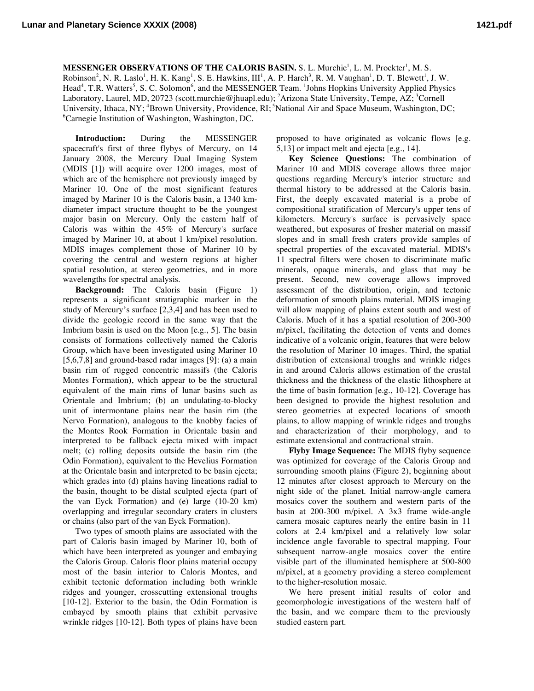**MESSENGER OBSERVATIONS OF THE CALORIS BASIN. S. L. Murchie<sup>1</sup>, L. M. Prockter<sup>1</sup>, M. S.** 

 $Robinson<sup>2</sup>, N. R. Laslo<sup>1</sup>, H. K. Kang<sup>1</sup>, S. E. Hawkins, III<sup>1</sup>, A. P. Harch<sup>3</sup>, R. M. Vaughan<sup>1</sup>, D. T. Blewett<sup>1</sup>, J. W.$ Head<sup>4</sup>, T.R. Watters<sup>5</sup>, S. C. Solomon<sup>6</sup>, and the MESSENGER Team. <sup>1</sup>Johns Hopkins University Applied Physics Laboratory, Laurel, MD, 20723 (scott.murchie@jhuapl.edu); <sup>2</sup>Arizona State University, Tempe, AZ; <sup>3</sup>Cornell University, Ithaca, NY; <sup>4</sup>Brown University, Providence, RI; <sup>5</sup>National Air and Space Museum, Washington, DC; 6 Carnegie Institution of Washington, Washington, DC.

**Introduction:** During the MESSENGER spacecraft's first of three flybys of Mercury, on 14 January 2008, the Mercury Dual Imaging System (MDIS [1]) will acquire over 1200 images, most of which are of the hemisphere not previously imaged by Mariner 10. One of the most significant features imaged by Mariner 10 is the Caloris basin, a 1340 kmdiameter impact structure thought to be the youngest major basin on Mercury. Only the eastern half of Caloris was within the 45% of Mercury's surface imaged by Mariner 10, at about 1 km/pixel resolution. MDIS images complement those of Mariner 10 by covering the central and western regions at higher spatial resolution, at stereo geometries, and in more wavelengths for spectral analysis.

**Background:** The Caloris basin (Figure 1) represents a significant stratigraphic marker in the study of Mercury's surface [2,3,4] and has been used to divide the geologic record in the same way that the Imbrium basin is used on the Moon [e.g., 5]. The basin consists of formations collectively named the Caloris Group, which have been investigated using Mariner 10 [5,6,7,8] and ground-based radar images [9]: (a) a main basin rim of rugged concentric massifs (the Caloris Montes Formation), which appear to be the structural equivalent of the main rims of lunar basins such as Orientale and Imbrium; (b) an undulating-to-blocky unit of intermontane plains near the basin rim (the Nervo Formation), analogous to the knobby facies of the Montes Rook Formation in Orientale basin and interpreted to be fallback ejecta mixed with impact melt; (c) rolling deposits outside the basin rim (the Odin Formation), equivalent to the Hevelius Formation at the Orientale basin and interpreted to be basin ejecta; which grades into (d) plains having lineations radial to the basin, thought to be distal sculpted ejecta (part of the van Eyck Formation) and (e) large (10-20 km) overlapping and irregular secondary craters in clusters or chains (also part of the van Eyck Formation).

Two types of smooth plains are associated with the part of Caloris basin imaged by Mariner 10, both of which have been interpreted as younger and embaying the Caloris Group. Caloris floor plains material occupy most of the basin interior to Caloris Montes, and exhibit tectonic deformation including both wrinkle ridges and younger, crosscutting extensional troughs [10-12]. Exterior to the basin, the Odin Formation is embayed by smooth plains that exhibit pervasive wrinkle ridges [10-12]. Both types of plains have been

proposed to have originated as volcanic flows [e.g. 5,13] or impact melt and ejecta [e.g., 14].

**Key Science Questions:** The combination of Mariner 10 and MDIS coverage allows three major questions regarding Mercury's interior structure and thermal history to be addressed at the Caloris basin. First, the deeply excavated material is a probe of compositional stratification of Mercury's upper tens of kilometers. Mercury's surface is pervasively space weathered, but exposures of fresher material on massif slopes and in small fresh craters provide samples of spectral properties of the excavated material. MDIS's 11 spectral filters were chosen to discriminate mafic minerals, opaque minerals, and glass that may be present. Second, new coverage allows improved assessment of the distribution, origin, and tectonic deformation of smooth plains material. MDIS imaging will allow mapping of plains extent south and west of Caloris. Much of it has a spatial resolution of 200-300 m/pixel, facilitating the detection of vents and domes indicative of a volcanic origin, features that were below the resolution of Mariner 10 images. Third, the spatial distribution of extensional troughs and wrinkle ridges in and around Caloris allows estimation of the crustal thickness and the thickness of the elastic lithosphere at the time of basin formation [e.g., 10-12]. Coverage has been designed to provide the highest resolution and stereo geometries at expected locations of smooth plains, to allow mapping of wrinkle ridges and troughs and characterization of their morphology, and to estimate extensional and contractional strain.

**Flyby Image Sequence:** The MDIS flyby sequence was optimized for coverage of the Caloris Group and surrounding smooth plains (Figure 2), beginning about 12 minutes after closest approach to Mercury on the night side of the planet. Initial narrow-angle camera mosaics cover the southern and western parts of the basin at 200-300 m/pixel. A 3x3 frame wide-angle camera mosaic captures nearly the entire basin in 11 colors at 2.4 km/pixel and a relatively low solar incidence angle favorable to spectral mapping. Four subsequent narrow-angle mosaics cover the entire visible part of the illuminated hemisphere at 500-800 m/pixel, at a geometry providing a stereo complement to the higher-resolution mosaic.

We here present initial results of color and geomorphologic investigations of the western half of the basin, and we compare them to the previously studied eastern part.